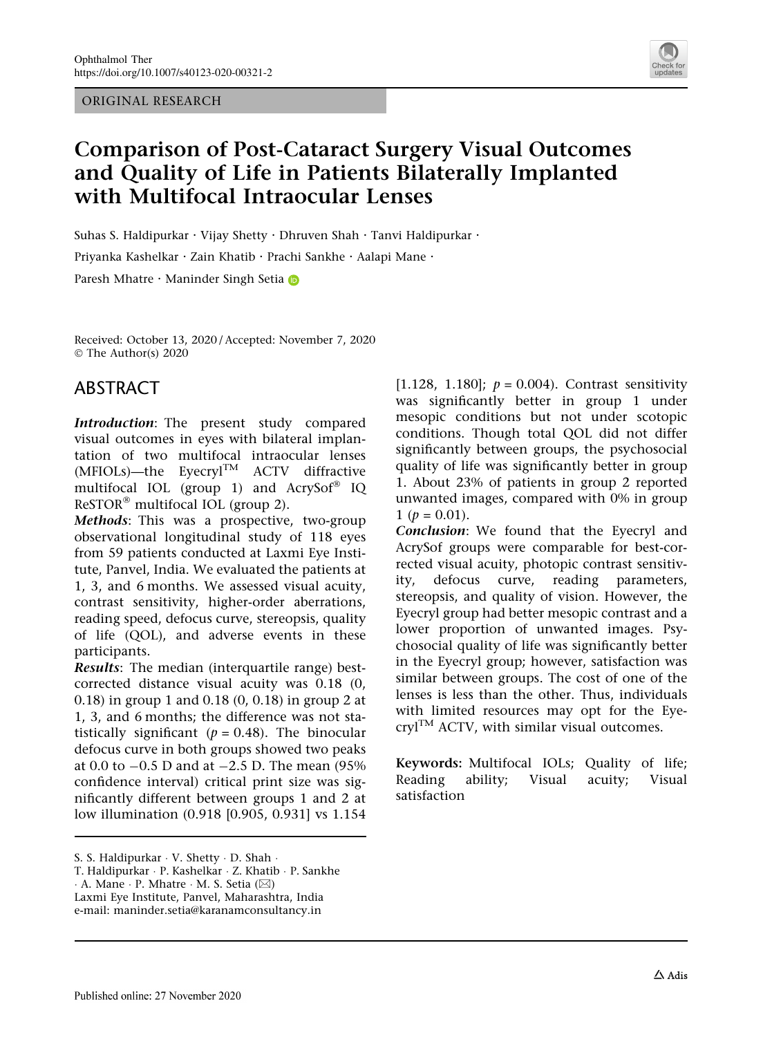ORIGINAL RESEARCH



# Comparison of Post-Cataract Surgery Visual Outcomes and Quality of Life in Patients Bilaterally Implanted with Multifocal Intraocular Lenses

Suhas S. Haldipurkar · Vijay Shetty · Dhruven Shah · Tanvi Haldipurkar ·

Priyanka Kashelkar · Zain Khatib · Prachi Sankhe · Aalapi Mane ·

Paresh Mhatre · Maninder Singh Setia

Received: October 13, 2020 / Accepted: November 7, 2020 © The Author(s) 2020

## ABSTRACT

Introduction: The present study compared visual outcomes in eyes with bilateral implantation of two multifocal intraocular lenses (MFIOLs)—the EyecrylTM ACTV diffractive multifocal IOL (group 1) and  $AcrvSof^{\circledR}$  IQ  $ResTOR^®$  multifocal IOL (group 2).

Methods: This was a prospective, two-group observational longitudinal study of 118 eyes from 59 patients conducted at Laxmi Eye Institute, Panvel, India. We evaluated the patients at 1, 3, and 6 months. We assessed visual acuity, contrast sensitivity, higher-order aberrations, reading speed, defocus curve, stereopsis, quality of life (QOL), and adverse events in these participants.

Results: The median (interquartile range) bestcorrected distance visual acuity was 0.18 (0, 0.18) in group 1 and 0.18 (0, 0.18) in group 2 at 1, 3, and 6 months; the difference was not statistically significant ( $p = 0.48$ ). The binocular defocus curve in both groups showed two peaks at 0.0 to  $-0.5$  D and at  $-2.5$  D. The mean (95% confidence interval) critical print size was significantly different between groups 1 and 2 at low illumination (0.918 [0.905, 0.931] vs 1.154

S. S. Haldipurkar - V. Shetty - D. Shah -

[1.128, 1.180];  $p = 0.004$ ). Contrast sensitivity was significantly better in group 1 under mesopic conditions but not under scotopic conditions. Though total QOL did not differ significantly between groups, the psychosocial quality of life was significantly better in group 1. About 23% of patients in group 2 reported unwanted images, compared with 0% in group  $1 (p = 0.01).$ 

Conclusion: We found that the Eyecryl and AcrySof groups were comparable for best-corrected visual acuity, photopic contrast sensitivity, defocus curve, reading parameters, stereopsis, and quality of vision. However, the Eyecryl group had better mesopic contrast and a lower proportion of unwanted images. Psychosocial quality of life was significantly better in the Eyecryl group; however, satisfaction was similar between groups. The cost of one of the lenses is less than the other. Thus, individuals with limited resources may opt for the Eye- $\text{cryl}^{\text{TM}}$  ACTV, with similar visual outcomes.

Keywords: Multifocal IOLs; Quality of life; Reading ability; Visual acuity; Visual satisfaction

T. Haldipurkar - P. Kashelkar - Z. Khatib - P. Sankhe

 $\cdot$  A. Mane  $\cdot$  P. Mhatre  $\cdot$  M. S. Setia ( $\boxtimes$ )

Laxmi Eye Institute, Panvel, Maharashtra, India e-mail: maninder.setia@karanamconsultancy.in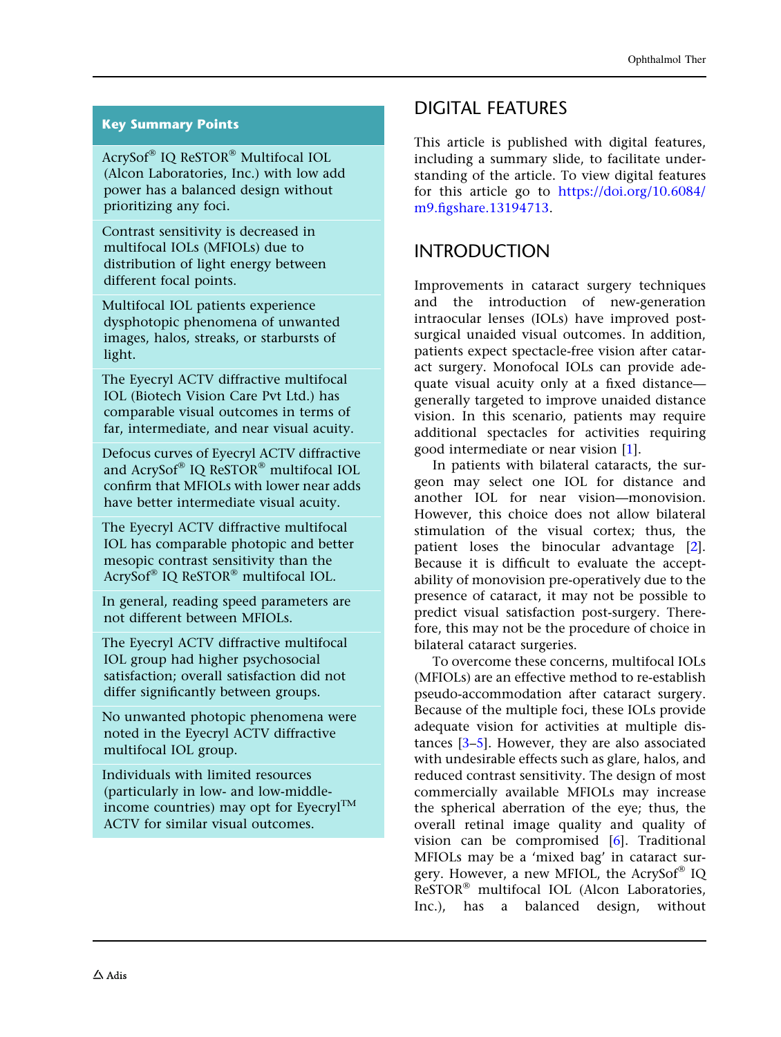### Key Summary Points

AcrySof® IQ ReSTOR® Multifocal IOL (Alcon Laboratories, Inc.) with low add power has a balanced design without prioritizing any foci.

Contrast sensitivity is decreased in multifocal IOLs (MFIOLs) due to distribution of light energy between different focal points.

Multifocal IOL patients experience dysphotopic phenomena of unwanted images, halos, streaks, or starbursts of light.

The Eyecryl ACTV diffractive multifocal IOL (Biotech Vision Care Pvt Ltd.) has comparable visual outcomes in terms of far, intermediate, and near visual acuity.

Defocus curves of Eyecryl ACTV diffractive and AcrySof® IQ ReSTOR® multifocal IOL confirm that MFIOLs with lower near adds have better intermediate visual acuity.

The Eyecryl ACTV diffractive multifocal IOL has comparable photopic and better mesopic contrast sensitivity than the AcrySof® IQ ReSTOR® multifocal IOL.

In general, reading speed parameters are not different between MFIOLs.

The Eyecryl ACTV diffractive multifocal IOL group had higher psychosocial satisfaction; overall satisfaction did not differ significantly between groups.

No unwanted photopic phenomena were noted in the Eyecryl ACTV diffractive multifocal IOL group.

Individuals with limited resources (particularly in low- and low-middleincome countries) may opt for Eyecryl<sup>TM</sup> ACTV for similar visual outcomes.

## DIGITAL FEATURES

This article is published with digital features, including a summary slide, to facilitate understanding of the article. To view digital features for this article go to [https://doi.org/10.6084/](https://doi.org/10.6084/m9.figshare.13194713) [m9.figshare.13194713](https://doi.org/10.6084/m9.figshare.13194713).

## INTRODUCTION

Improvements in cataract surgery techniques and the introduction of new-generation intraocular lenses (IOLs) have improved postsurgical unaided visual outcomes. In addition, patients expect spectacle-free vision after cataract surgery. Monofocal IOLs can provide adequate visual acuity only at a fixed distance generally targeted to improve unaided distance vision. In this scenario, patients may require additional spectacles for activities requiring good intermediate or near vision [[1](#page-10-0)].

In patients with bilateral cataracts, the surgeon may select one IOL for distance and another IOL for near vision—monovision. However, this choice does not allow bilateral stimulation of the visual cortex; thus, the patient loses the binocular advantage [[2](#page-10-0)]. Because it is difficult to evaluate the acceptability of monovision pre-operatively due to the presence of cataract, it may not be possible to predict visual satisfaction post-surgery. Therefore, this may not be the procedure of choice in bilateral cataract surgeries.

To overcome these concerns, multifocal IOLs (MFIOLs) are an effective method to re-establish pseudo-accommodation after cataract surgery. Because of the multiple foci, these IOLs provide adequate vision for activities at multiple distances [[3–5](#page-11-0)]. However, they are also associated with undesirable effects such as glare, halos, and reduced contrast sensitivity. The design of most commercially available MFIOLs may increase the spherical aberration of the eye; thus, the overall retinal image quality and quality of vision can be compromised [[6](#page-11-0)]. Traditional MFIOLs may be a 'mixed bag' in cataract surgery. However, a new MFIOL, the AcrySof<sup>®</sup> IQ  $ResTOR^@$  multifocal IOL (Alcon Laboratories, Inc.), has a balanced design, without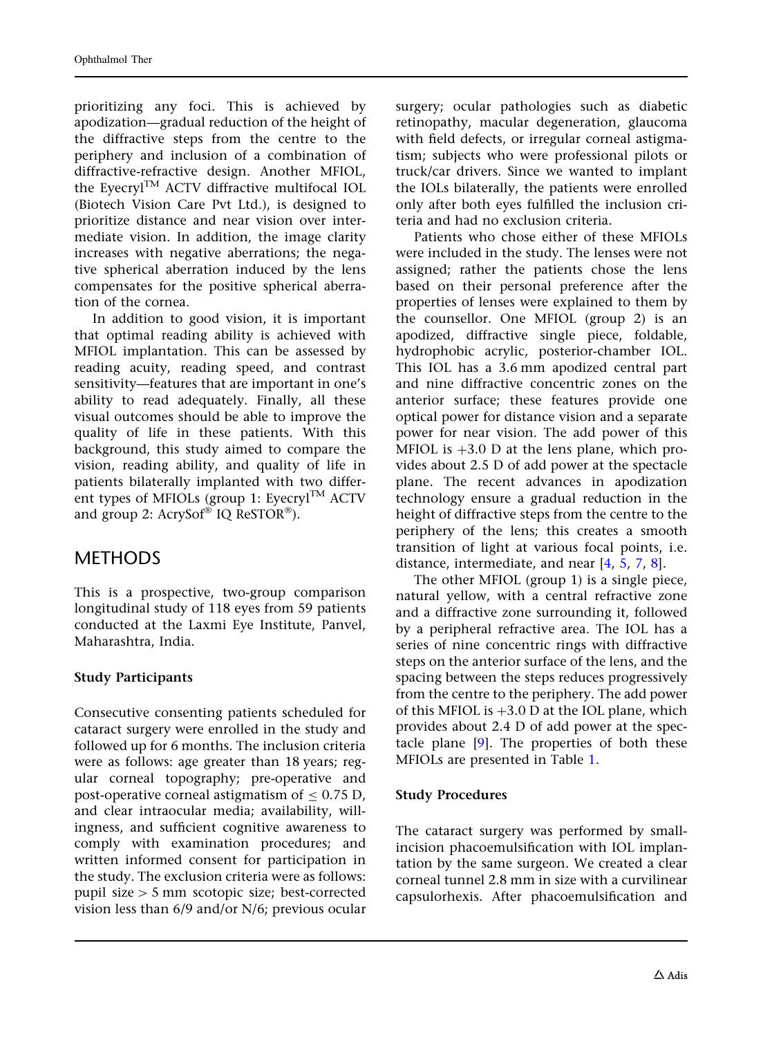prioritizing any foci. This is achieved by apodization—gradual reduction of the height of the diffractive steps from the centre to the periphery and inclusion of a combination of diffractive-refractive design. Another MFIOL, the EyecrylTM ACTV diffractive multifocal IOL (Biotech Vision Care Pvt Ltd.), is designed to prioritize distance and near vision over intermediate vision. In addition, the image clarity increases with negative aberrations; the negative spherical aberration induced by the lens compensates for the positive spherical aberration of the cornea.

In addition to good vision, it is important that optimal reading ability is achieved with MFIOL implantation. This can be assessed by reading acuity, reading speed, and contrast sensitivity—features that are important in one's ability to read adequately. Finally, all these visual outcomes should be able to improve the quality of life in these patients. With this background, this study aimed to compare the vision, reading ability, and quality of life in patients bilaterally implanted with two different types of MFIOLs (group 1: Eyecryl<sup>TM</sup> ACTV and group 2:  $AcrvSof^{\circledast}$  IQ ReSTOR $^{\circledast}$ ).

## **METHODS**

This is a prospective, two-group comparison longitudinal study of 118 eyes from 59 patients conducted at the Laxmi Eye Institute, Panvel, Maharashtra, India.

### Study Participants

Consecutive consenting patients scheduled for cataract surgery were enrolled in the study and followed up for 6 months. The inclusion criteria were as follows: age greater than 18 years; regular corneal topography; pre-operative and post-operative corneal astigmatism of  $\leq 0.75$  D, and clear intraocular media; availability, willingness, and sufficient cognitive awareness to comply with examination procedures; and written informed consent for participation in the study. The exclusion criteria were as follows: pupil size  $> 5$  mm scotopic size; best-corrected vision less than 6/9 and/or N/6; previous ocular

surgery; ocular pathologies such as diabetic retinopathy, macular degeneration, glaucoma with field defects, or irregular corneal astigmatism; subjects who were professional pilots or truck/car drivers. Since we wanted to implant the IOLs bilaterally, the patients were enrolled only after both eyes fulfilled the inclusion criteria and had no exclusion criteria.

Patients who chose either of these MFIOLs were included in the study. The lenses were not assigned; rather the patients chose the lens based on their personal preference after the properties of lenses were explained to them by the counsellor. One MFIOL (group 2) is an apodized, diffractive single piece, foldable, hydrophobic acrylic, posterior-chamber IOL. This IOL has a 3.6 mm apodized central part and nine diffractive concentric zones on the anterior surface; these features provide one optical power for distance vision and a separate power for near vision. The add power of this MFIOL is  $+3.0$  D at the lens plane, which provides about 2.5 D of add power at the spectacle plane. The recent advances in apodization technology ensure a gradual reduction in the height of diffractive steps from the centre to the periphery of the lens; this creates a smooth transition of light at various focal points, i.e. distance, intermediate, and near [[4](#page-11-0), [5](#page-11-0), [7](#page-11-0), [8](#page-11-0)].

The other MFIOL (group 1) is a single piece, natural yellow, with a central refractive zone and a diffractive zone surrounding it, followed by a peripheral refractive area. The IOL has a series of nine concentric rings with diffractive steps on the anterior surface of the lens, and the spacing between the steps reduces progressively from the centre to the periphery. The add power of this MFIOL is  $+3.0$  D at the IOL plane, which provides about 2.4 D of add power at the spectacle plane [\[9\]](#page-11-0). The properties of both these MFIOLs are presented in Table [1](#page-3-0).

### Study Procedures

The cataract surgery was performed by smallincision phacoemulsification with IOL implantation by the same surgeon. We created a clear corneal tunnel 2.8 mm in size with a curvilinear capsulorhexis. After phacoemulsification and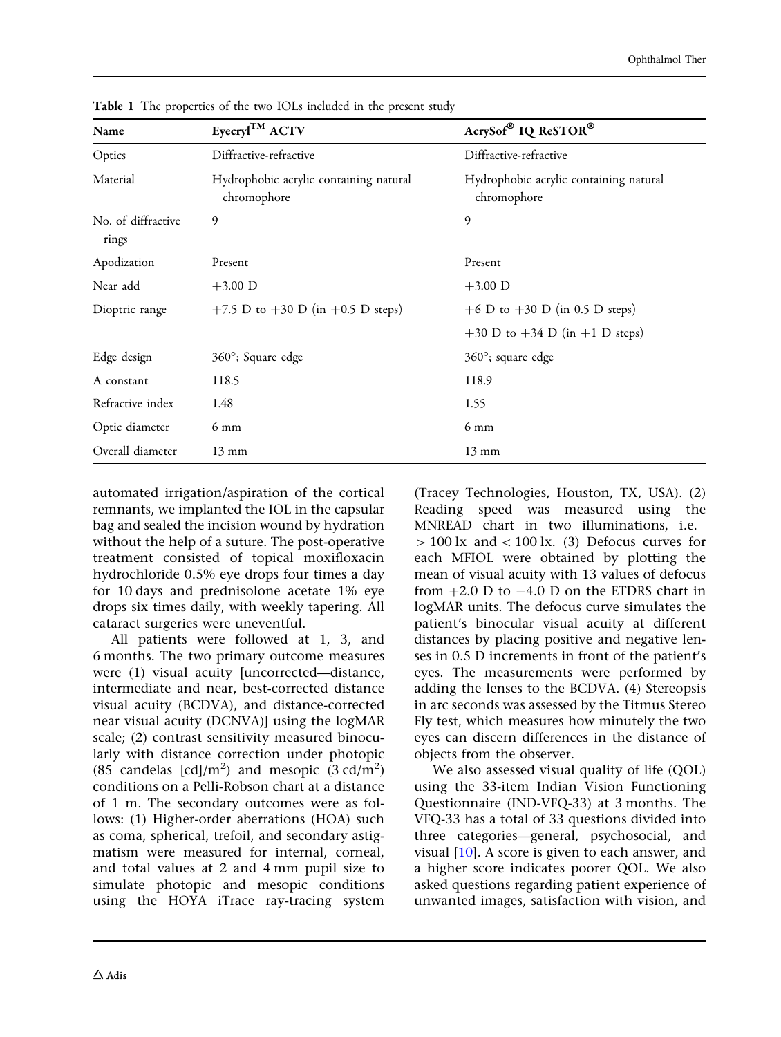| Name                        | Eyecryl <sup>TM</sup> ACTV                            | AcrySof® IQ ReSTOR®                                   |
|-----------------------------|-------------------------------------------------------|-------------------------------------------------------|
| Optics                      | Diffractive-refractive                                | Diffractive-refractive                                |
| Material                    | Hydrophobic acrylic containing natural<br>chromophore | Hydrophobic acrylic containing natural<br>chromophore |
| No. of diffractive<br>rings | 9                                                     | 9                                                     |
| Apodization                 | Present                                               | Present                                               |
| Near add                    | $+3.00$ D                                             | $+3.00$ D                                             |
| Dioptric range              | +7.5 D to +30 D (in +0.5 D steps)                     | +6 D to +30 D (in 0.5 D steps)                        |
|                             |                                                       | $+30$ D to $+34$ D (in $+1$ D steps)                  |
| Edge design                 | 360°; Square edge                                     | $360^\circ$ ; square edge                             |
| A constant                  | 118.5                                                 | 118.9                                                 |
| Refractive index            | 1.48                                                  | 1.55                                                  |
| Optic diameter              | $6 \text{ mm}$                                        | $6 \text{ mm}$                                        |
| Overall diameter            | $13 \text{ mm}$                                       | $13 \text{ mm}$                                       |

<span id="page-3-0"></span>Table 1 The properties of the two IOLs included in the present study

automated irrigation/aspiration of the cortical remnants, we implanted the IOL in the capsular bag and sealed the incision wound by hydration without the help of a suture. The post-operative treatment consisted of topical moxifloxacin hydrochloride 0.5% eye drops four times a day for 10 days and prednisolone acetate 1% eye drops six times daily, with weekly tapering. All cataract surgeries were uneventful.

All patients were followed at 1, 3, and 6 months. The two primary outcome measures were (1) visual acuity [uncorrected—distance, intermediate and near, best-corrected distance visual acuity (BCDVA), and distance-corrected near visual acuity (DCNVA)] using the logMAR scale; (2) contrast sensitivity measured binocularly with distance correction under photopic (85 candelas [cd]/m<sup>2</sup>) and mesopic  $(3 \text{ cd/m}^2)$ conditions on a Pelli-Robson chart at a distance of 1 m. The secondary outcomes were as follows: (1) Higher-order aberrations (HOA) such as coma, spherical, trefoil, and secondary astigmatism were measured for internal, corneal, and total values at 2 and 4 mm pupil size to simulate photopic and mesopic conditions using the HOYA iTrace ray-tracing system

(Tracey Technologies, Houston, TX, USA). (2) Reading speed was measured using the MNREAD chart in two illuminations, i.e.  $> 100$  lx and  $< 100$  lx. (3) Defocus curves for each MFIOL were obtained by plotting the mean of visual acuity with 13 values of defocus from  $+2.0$  D to  $-4.0$  D on the ETDRS chart in logMAR units. The defocus curve simulates the patient's binocular visual acuity at different distances by placing positive and negative lenses in 0.5 D increments in front of the patient's eyes. The measurements were performed by adding the lenses to the BCDVA. (4) Stereopsis in arc seconds was assessed by the Titmus Stereo Fly test, which measures how minutely the two eyes can discern differences in the distance of objects from the observer.

We also assessed visual quality of life (QOL) using the 33-item Indian Vision Functioning Questionnaire (IND-VFQ-33) at 3 months. The VFQ-33 has a total of 33 questions divided into three categories—general, psychosocial, and visual [\[10\]](#page-11-0). A score is given to each answer, and a higher score indicates poorer QOL. We also asked questions regarding patient experience of unwanted images, satisfaction with vision, and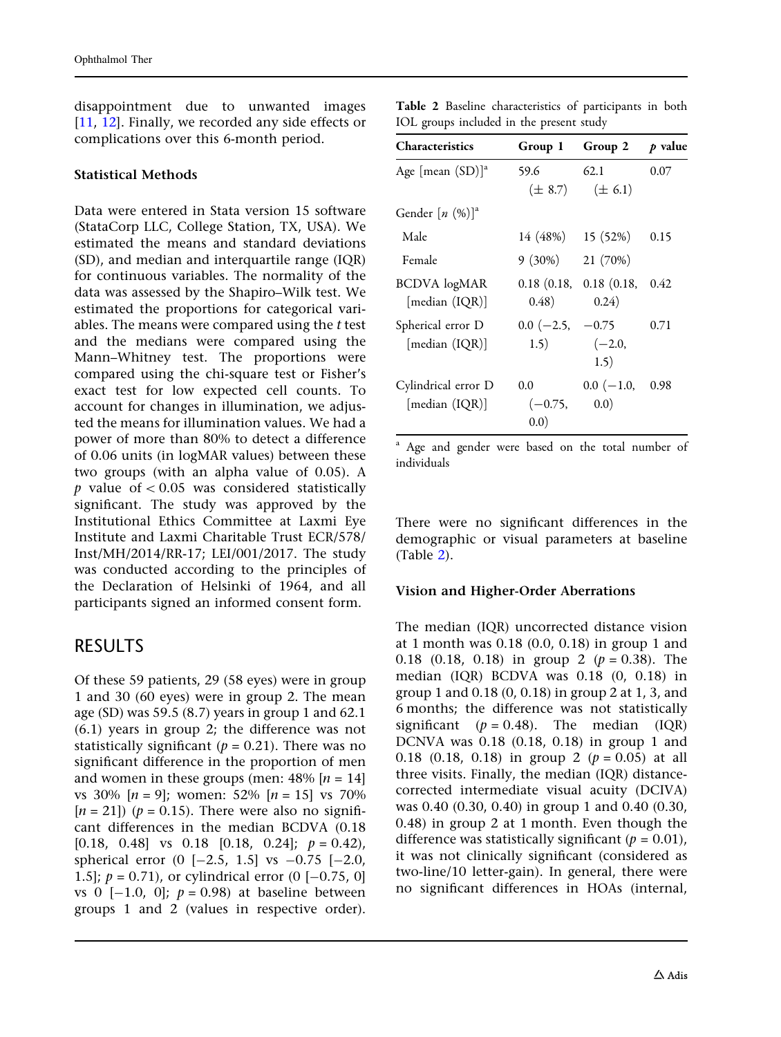disappointment due to unwanted images [\[11](#page-11-0), [12\]](#page-11-0). Finally, we recorded any side effects or complications over this 6-month period.

### Statistical Methods

Data were entered in Stata version 15 software (StataCorp LLC, College Station, TX, USA). We estimated the means and standard deviations (SD), and median and interquartile range (IQR) for continuous variables. The normality of the data was assessed by the Shapiro–Wilk test. We estimated the proportions for categorical variables. The means were compared using the  $t$  test and the medians were compared using the Mann–Whitney test. The proportions were compared using the chi-square test or Fisher's exact test for low expected cell counts. To account for changes in illumination, we adjusted the means for illumination values. We had a power of more than 80% to detect a difference of 0.06 units (in logMAR values) between these two groups (with an alpha value of 0.05). A  $p$  value of  $\lt$  0.05 was considered statistically significant. The study was approved by the Institutional Ethics Committee at Laxmi Eye Institute and Laxmi Charitable Trust ECR/578/ Inst/MH/2014/RR-17; LEI/001/2017. The study was conducted according to the principles of the Declaration of Helsinki of 1964, and all participants signed an informed consent form.

### RESULTS

Of these 59 patients, 29 (58 eyes) were in group 1 and 30 (60 eyes) were in group 2. The mean age (SD) was 59.5 (8.7) years in group 1 and 62.1 (6.1) years in group 2; the difference was not statistically significant ( $p = 0.21$ ). There was no significant difference in the proportion of men and women in these groups (men:  $48\%$  [ $n = 14$ ] vs 30%  $[n = 9]$ ; women: 52%  $[n = 15]$  vs 70%  $[n = 21]$ ) ( $p = 0.15$ ). There were also no significant differences in the median BCDVA (0.18 [0.18, 0.48] vs 0.18 [0.18, 0.24];  $p = 0.42$ ), spherical error  $(0 [-2.5, 1.5]$  vs  $-0.75 [-2.0, 1.5]$ 1.5];  $p = 0.71$ , or cylindrical error (0 [-0.75, 0] vs 0  $[-1.0, 0]$ ;  $p = 0.98$ ) at baseline between groups 1 and 2 (values in respective order).

Table 2 Baseline characteristics of participants in both IOL groups included in the present study

| <b>Characteristics</b>                | Group 1                       | Group 2                                       | p value |
|---------------------------------------|-------------------------------|-----------------------------------------------|---------|
| Age [mean $(SD)$ ] <sup>a</sup>       | 59.6                          | 62.1<br>$(\pm 8.7)$ $(\pm 6.1)$               | 0.07    |
| Gender $[n (%)]^a$                    |                               |                                               |         |
| Male                                  |                               | 14 (48%) 15 (52%)                             | 0.15    |
| Female                                | $9(30\%)$                     | 21 (70%)                                      |         |
| <b>BCDVA</b> logMAR<br>[median (IQR)] | (0.48)                        | $0.18$ $(0.18, 0.18)$ $(0.18, 0.42)$<br>0.24) |         |
| Spherical error D<br>[median (IQR)]   | $0.0$ (-2.5, -0.75)<br>1.5)   | $(-2.0,$<br>1.5)                              | 0.71    |
| Cylindrical error D<br>[median (IQR)] | $0.0\,$<br>$(-0.75,$<br>(0.0) | $0.0$ ( $-1.0$ )<br>(0.0)                     | 0.98    |

<sup>a</sup> Age and gender were based on the total number of individuals

There were no significant differences in the demographic or visual parameters at baseline (Table 2).

#### Vision and Higher-Order Aberrations

The median (IQR) uncorrected distance vision at 1 month was 0.18 (0.0, 0.18) in group 1 and 0.18 (0.18, 0.18) in group 2 ( $p = 0.38$ ). The median (IQR) BCDVA was 0.18 (0, 0.18) in group 1 and 0.18 (0, 0.18) in group 2 at 1, 3, and 6 months; the difference was not statistically significant ( $p = 0.48$ ). The median (IQR) DCNVA was 0.18 (0.18, 0.18) in group 1 and 0.18 (0.18, 0.18) in group 2 ( $p = 0.05$ ) at all three visits. Finally, the median (IQR) distancecorrected intermediate visual acuity (DCIVA) was 0.40 (0.30, 0.40) in group 1 and 0.40 (0.30, 0.48) in group 2 at 1 month. Even though the difference was statistically significant ( $p = 0.01$ ), it was not clinically significant (considered as two-line/10 letter-gain). In general, there were no significant differences in HOAs (internal,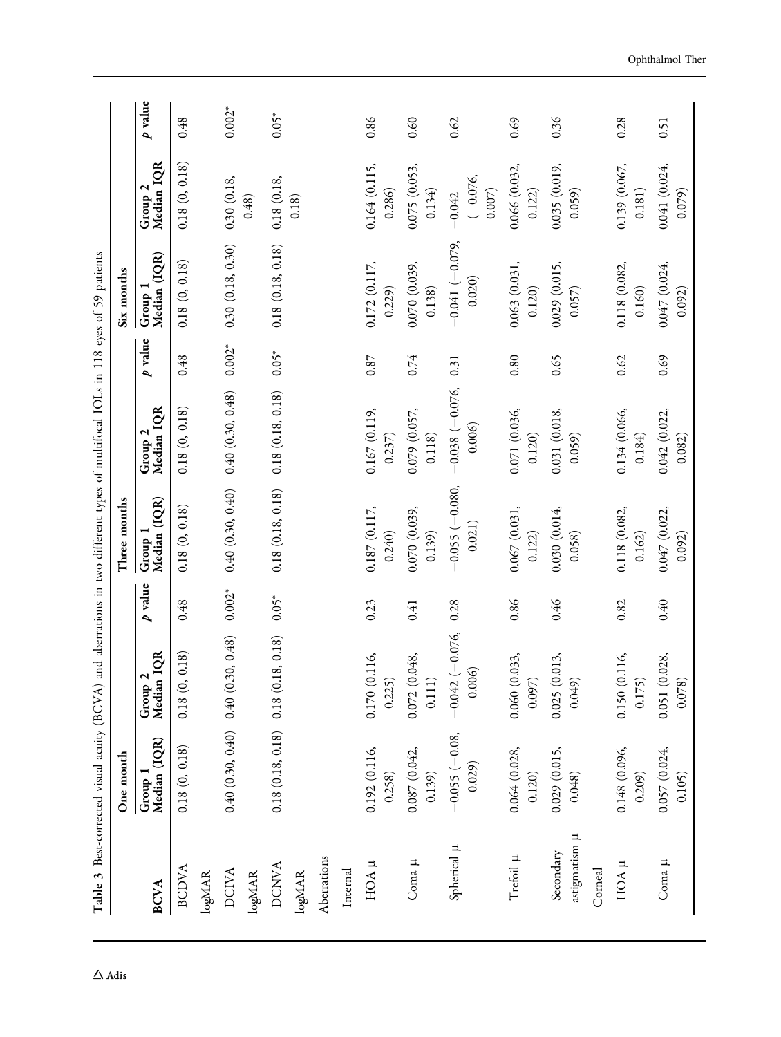<span id="page-5-0"></span>

|                            | Table 3 Best-corrected visual acuity (BCVA)<br>One month |                                       |          | Three months                  | and aberrations in two different types of multifocal IOLs in 118 eyes of 59 patients |          | Six months                    |                                  |          |
|----------------------------|----------------------------------------------------------|---------------------------------------|----------|-------------------------------|--------------------------------------------------------------------------------------|----------|-------------------------------|----------------------------------|----------|
| <b>BCVA</b>                | Group 1<br>Median (IQR)                                  | Median IQR<br>$\mathbf{z}$<br>Group   | p value  | Group 1<br>Median (IQR)       | Median IOR<br>Group <sub>2</sub>                                                     | p value  | Median (IQR)<br>Group 1       | Median IQR<br>Group <sub>2</sub> | p value  |
| <b>BCDVA</b>               | 0.18(0, 0.18)                                            | 0.18)<br>0.18(0,                      | 0.48     | 0.18(0, 0.18)                 | 0.18(0, 0.18)                                                                        | 0.48     | 0.18(0, 0.18)                 | 0.18(0, 0.18)                    | 0.48     |
| logMAR                     |                                                          |                                       |          |                               |                                                                                      |          |                               |                                  |          |
| <b>DCIVA</b>               |                                                          | $0.40(0.30, 0.40)$ $0.40(0.30, 0.48)$ | $0.002*$ | 0.40(0.30, 0.40)              | 0.40(0.30, 0.48)                                                                     | $0.002*$ | 0.30(0.18, 0.30)              | 0.30(0.18,                       | $0.002*$ |
| logMAR                     |                                                          |                                       |          |                               |                                                                                      |          |                               | 0.48)                            |          |
| <b>DCNVA</b>               |                                                          | $0.18(0.18, 0.18)$ $0.18(0.18, 0.18)$ | $0.05*$  | 0.18(0.18, 0.18)              | 0.18(0.18, 0.18)                                                                     | $0.05*$  | 0.18(0.18, 0.18)              | 0.18(0.18,                       | $0.05*$  |
| logMAR                     |                                                          |                                       |          |                               |                                                                                      |          |                               | 0.18)                            |          |
| Aberrations                |                                                          |                                       |          |                               |                                                                                      |          |                               |                                  |          |
| Internal                   |                                                          |                                       |          |                               |                                                                                      |          |                               |                                  |          |
| HOA µ                      | 0.192 (0.116,<br>0.258)                                  | 0.170 (0.116,<br>0.225                | 0.23     | 0.187(0.117,<br>0.240)        | 0.167(0.119,<br>0.237)                                                               | 0.87     | 0.172 (0.117,<br>0.229)       | 0.164(0.115,<br>0.286            | 0.86     |
| Coma $\mu$                 | 0.087 (0.042,<br>0.139)                                  | 0.072 (0.048,<br>0.111)               | 0.41     | 0.070 (0.039,<br>0.139)       | 0.079 (0.057,<br>0.118)                                                              | 0.74     | 0.070 (0.039,<br>0.138)       | 0.075 (0.053,<br>0.134)          | 0.60     |
| Spherical µ                | $-0.055(-0.08,$<br>$-0.029$                              | $-0.042(-0.076,$<br>$-0.006$          | 0.28     | $-0.055(-0.080,$<br>$-0.021)$ | $-0.038(-0.076,$<br>$-0.006$                                                         | 0.31     | $-0.041(-0.079,$<br>$-0.020)$ | $(-0.076,$<br>0.007)<br>$-0.042$ | 0.62     |
| Trefoil µ                  | 0.064(0.028,<br>0.120)                                   | 0.060 (0.033,<br>0.097                | 0.86     | 0.067(0.031,<br>0.122)        | 0.071 (0.036,<br>0.120)                                                              | 0.80     | 0.063(0.031,<br>0.120)        | 0.066 (0.032,<br>0.122)          | 0.69     |
| astigmatism µ<br>Secondary | 0.029(0.015,<br>0.048)                                   | 0.025(0.013,<br>0.049                 | 970      | 0.030 (0.014,<br>0.058)       | 0.031 (0.018,<br>0.059)                                                              | 0.65     | 0.029(0.015,<br>0.057)        | 0.035(0.019,<br>(650)            | 0.36     |
| Corneal                    |                                                          |                                       |          |                               |                                                                                      |          |                               |                                  |          |
| $HOA$ $\mu$                | 0.148 (0.096,<br>0.209)                                  | 0.150 (0.116,<br>0.175                | 0.82     | 0.118 (0.082,<br>0.162)       | 0.134 (0.066,<br>0.184)                                                              | 0.62     | 0.118 (0.082,<br>0.160)       | 0.139(0.067,<br>0.181)           | 0.28     |
| Coma µ                     | 0.057 (0.024,<br>0.105)                                  | 0.051 (0.028,<br>0.078                | 0.40     | 0.047 (0.022,<br>0.092)       | 0.042 (0.022,<br>0.082)                                                              | 0.69     | 0.047 (0.024,<br>0.092)       | 0.041 (0.024,<br>0.079)          | 0.51     |

 $\Delta$ Adis

Ophthalmol Ther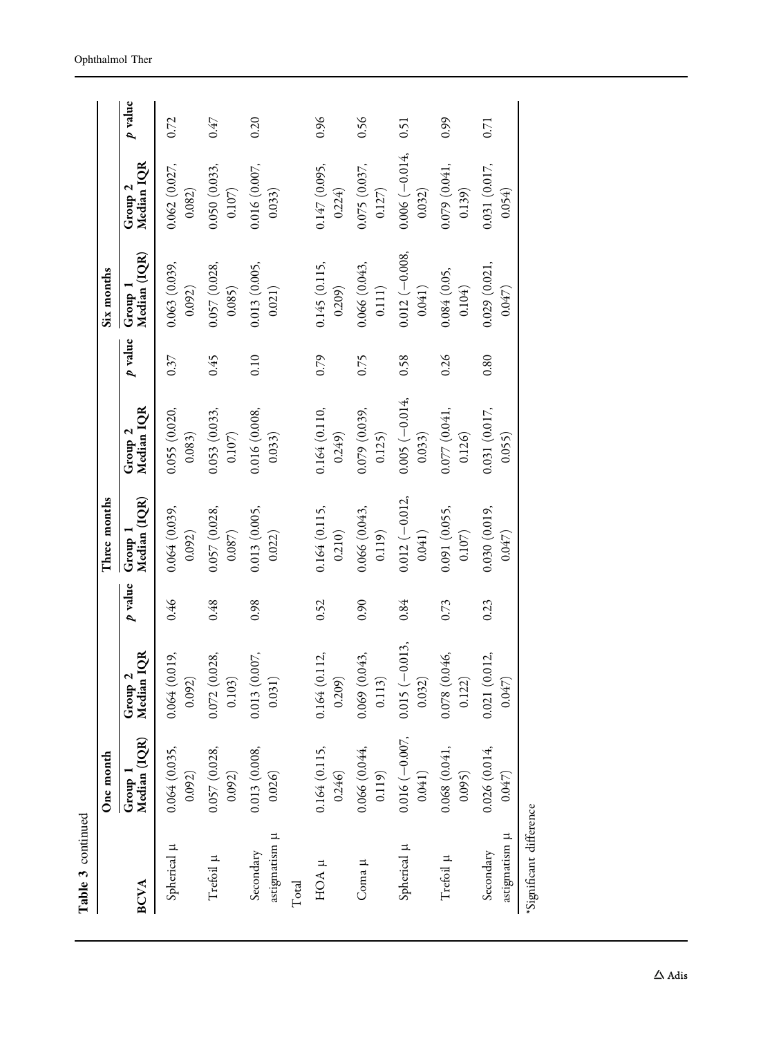| Table 3 continued                     |                           |                                          |         |                           |                            |         |                           |                           |           |
|---------------------------------------|---------------------------|------------------------------------------|---------|---------------------------|----------------------------|---------|---------------------------|---------------------------|-----------|
|                                       | One month                 |                                          |         | Three months              |                            |         | Six months                |                           |           |
| <b>BCVA</b>                           | Group 1<br>Median (IQR)   | Group 2<br>Median IQR                    | p value | Group 1<br>Median (IQR)   | Group 2<br>Median IQR      | p value | Group 1<br>Median (IQR)   | Group 2<br>Median IQR     | $p$ value |
| Spherical µ                           | 0.064 (0.035,<br>0.092)   | 0.064(0.019,<br>0.092)                   | 946     | 0.064(0.039,<br>0.092)    | 0.055 (0.020,<br>0.083)    | 0.37    | 0.063(0.039,<br>0.092)    | 0.062(0.027,<br>0.082)    | 0.72      |
| Trefoil $\upmu$                       | 0.057 (0.028,<br>0.092)   | 0.072 (0.028,<br>0.103)                  | 0.48    | 0.057 (0.028,<br>0.087)   | 0.053 (0.033,<br>$0.107)$  | 645     | 0.057 (0.028,<br>0.085)   | 0.050(0.033,<br>$0.107)$  | 0.47      |
| astigmatism µ<br>Secondary            | 0.013 (0.008,<br>0.026    | (0.007,<br>0.031)<br>0.013               | 0.98    | 0.013 (0.005,<br>0.022)   | 0.016(0.008,<br>0.033)     | 0.10    | 0.013(0.005,<br>0.021)    | 0.016(0.007,<br>0.033)    | 0.20      |
| Total                                 |                           |                                          |         |                           |                            |         |                           |                           |           |
| HOA µ                                 | 0.164 (0.115,<br>0.246    | (0.112,<br>0.209)<br>0.164               | 0.52    | 0.164(0.115,<br>0.210)    | 0.164 (0.110,<br>0.249)    | 0.79    | 0.145 (0.115,<br>0.209)   | 0.147(0.095,<br>0.224     | 0.96      |
| Coma µ                                | 0.066 (0.044,<br>0.119)   | 0.069 (0.043,<br>3)<br>$\overline{0.11}$ | 0.90    | 0.066 (0.043,<br>0.119)   | 0.079(0.039,<br>0.125)     | 0.75    | 0.066(0.043,<br>$0.111)$  | 0.075 (0.037,<br>0.127    | 0.56      |
| Spherical µ                           | $0.016(-0.007,$<br>0.041) | $0.015 (-0.013,$<br>0.032)               | 0.84    | $0.012(-0.012,$<br>0.041) | $0.005 (-0.014,$<br>0.033) | 0.58    | $0.012(-0.008,$<br>0.041) | $0.006(-0.014,$<br>0.032) | 0.51      |
| Trefoil µ                             | 0.068(0.041,<br>0.095)    | 0.078 (0.046,<br>0.122)                  | 0.73    | 0.091 (0.055,<br>0.107)   | 0.077(0.041,<br>0.126      | 0.26    | 0.084 (0.05,<br>0.104)    | 0.079 (0.041,<br>0.139)   | 0.99      |
| astigmatism <sub>µ</sub><br>Secondary | 0.026(0.014,<br>0.047)    | 0.021(0.012,<br>0.047)                   | 0.23    | 0.030(0.019,<br>0.047)    | 0.031 (0.017,<br>0.055)    | 0.80    | 0.029(0.021,<br>0.047)    | 0.031(0.017,<br>0.054)    | 0.71      |
| *Significant difference               |                           |                                          |         |                           |                            |         |                           |                           |           |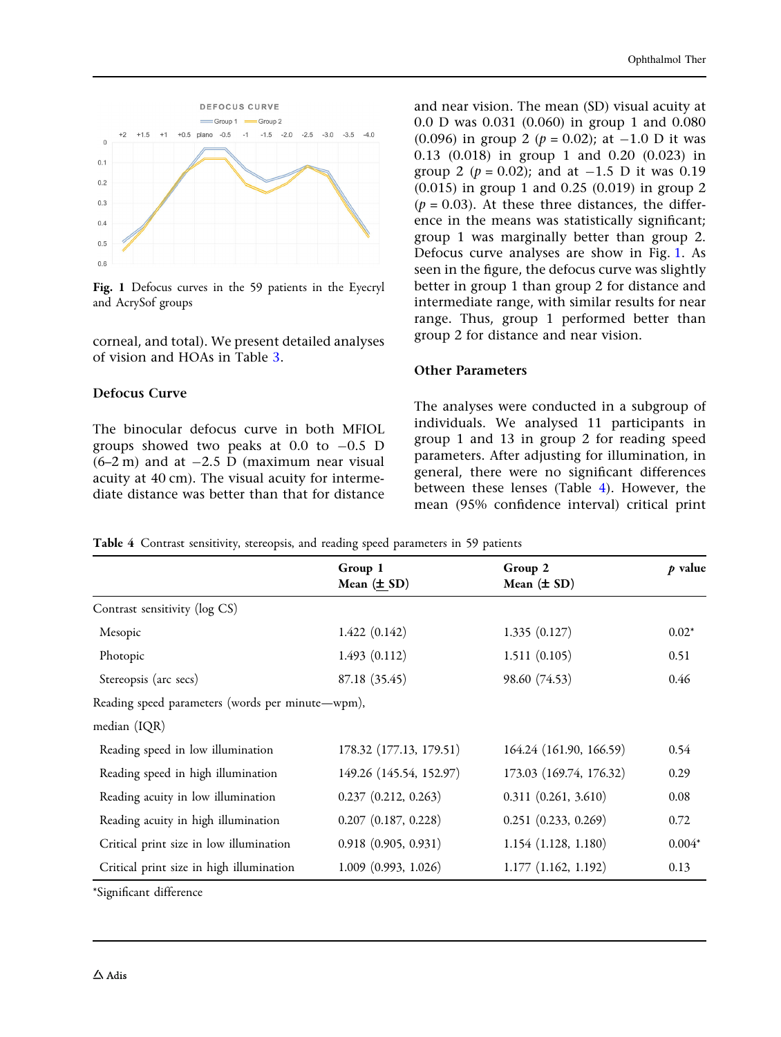<span id="page-7-0"></span>

Fig. 1 Defocus curves in the 59 patients in the Eyecryl and AcrySof groups

corneal, and total). We present detailed analyses of vision and HOAs in Table [3.](#page-5-0)

### Defocus Curve

The binocular defocus curve in both MFIOL groups showed two peaks at  $0.0$  to  $-0.5$  D  $(6-2 \text{ m})$  and at  $-2.5 \text{ D}$  (maximum near visual acuity at 40 cm). The visual acuity for intermediate distance was better than that for distance and near vision. The mean (SD) visual acuity at 0.0 D was 0.031 (0.060) in group 1 and 0.080 (0.096) in group 2 ( $p = 0.02$ ); at  $-1.0$  D it was 0.13 (0.018) in group 1 and 0.20 (0.023) in group 2 ( $p = 0.02$ ); and at  $-1.5$  D it was 0.19 (0.015) in group 1 and 0.25 (0.019) in group 2  $(p = 0.03)$ . At these three distances, the difference in the means was statistically significant; group 1 was marginally better than group 2. Defocus curve analyses are show in Fig. 1. As seen in the figure, the defocus curve was slightly better in group 1 than group 2 for distance and intermediate range, with similar results for near range. Thus, group 1 performed better than group 2 for distance and near vision.

### Other Parameters

The analyses were conducted in a subgroup of individuals. We analysed 11 participants in group 1 and 13 in group 2 for reading speed parameters. After adjusting for illumination, in general, there were no significant differences between these lenses (Table 4). However, the mean (95% confidence interval) critical print

|  | Table 4 Contrast sensitivity, stereopsis, and reading speed parameters in 59 patients |  |
|--|---------------------------------------------------------------------------------------|--|
|--|---------------------------------------------------------------------------------------|--|

|                                                  | Group 1<br>Mean $(\pm SD)$ | Group 2<br>Mean $(\pm SD)$ | p value  |
|--------------------------------------------------|----------------------------|----------------------------|----------|
| Contrast sensitivity (log CS)                    |                            |                            |          |
| Mesopic                                          | 1.422(0.142)               | 1.335(0.127)               | $0.02*$  |
| Photopic                                         | 1.493(0.112)               | 1.511(0.105)               | 0.51     |
| Stereopsis (arc secs)                            | 87.18 (35.45)              | 98.60 (74.53)              | 0.46     |
| Reading speed parameters (words per minute—wpm), |                            |                            |          |
| median (IQR)                                     |                            |                            |          |
| Reading speed in low illumination                | 178.32 (177.13, 179.51)    | 164.24 (161.90, 166.59)    | 0.54     |
| Reading speed in high illumination               | 149.26 (145.54, 152.97)    | 173.03 (169.74, 176.32)    | 0.29     |
| Reading acuity in low illumination               | 0.237(0.212, 0.263)        | 0.311(0.261, 3.610)        | 0.08     |
| Reading acuity in high illumination              | $0.207$ $(0.187, 0.228)$   | 0.251(0.233, 0.269)        | 0.72     |
| Critical print size in low illumination          | 0.918(0.905, 0.931)        | 1.154 (1.128, 1.180)       | $0.004*$ |
| Critical print size in high illumination         | 1.009(0.993, 1.026)        | 1.177(1.162, 1.192)        | 0.13     |

\*Significant difference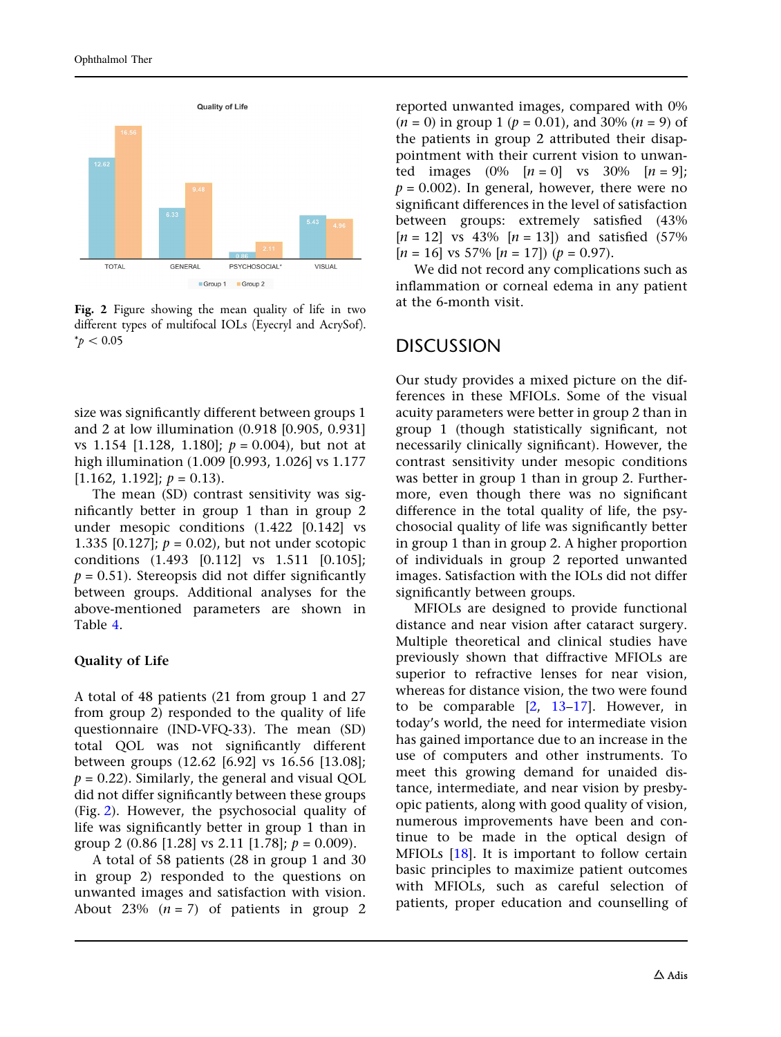

Fig. 2 Figure showing the mean quality of life in two different types of multifocal IOLs (Eyecryl and AcrySof).  $*_{p}$  < 0.05

size was significantly different between groups 1 and 2 at low illumination (0.918 [0.905, 0.931] vs 1.154 [1.128, 1.180];  $p = 0.004$ ), but not at high illumination (1.009 [0.993, 1.026] vs 1.177  $[1.162, 1.192]$ ;  $p = 0.13$ ).

The mean (SD) contrast sensitivity was significantly better in group 1 than in group 2 under mesopic conditions (1.422 [0.142] vs 1.335 [0.127];  $p = 0.02$ ), but not under scotopic conditions (1.493 [0.112] vs 1.511 [0.105];  $p = 0.51$ ). Stereopsis did not differ significantly between groups. Additional analyses for the above-mentioned parameters are shown in Table [4.](#page-7-0)

#### Quality of Life

A total of 48 patients (21 from group 1 and 27 from group 2) responded to the quality of life questionnaire (IND-VFQ-33). The mean (SD) total QOL was not significantly different between groups (12.62 [6.92] vs 16.56 [13.08];  $p = 0.22$ ). Similarly, the general and visual QOL did not differ significantly between these groups (Fig. 2). However, the psychosocial quality of life was significantly better in group 1 than in group 2 (0.86 [1.28] vs 2.11 [1.78];  $p = 0.009$ ).

A total of 58 patients (28 in group 1 and 30 in group 2) responded to the questions on unwanted images and satisfaction with vision. About 23%  $(n = 7)$  of patients in group 2 reported unwanted images, compared with 0%  $(n = 0)$  in group 1 ( $p = 0.01$ ), and 30% ( $n = 9$ ) of the patients in group 2 attributed their disappointment with their current vision to unwanted images  $(0\%$   $[n = 0]$  vs  $30\%$   $[n = 9]$ ;  $p = 0.002$ ). In general, however, there were no significant differences in the level of satisfaction between groups: extremely satisfied (43%  $[n = 12]$  vs 43%  $[n = 13]$  and satisfied (57%)  $[n = 16]$  vs 57%  $[n = 17]$   $(p = 0.97)$ .

We did not record any complications such as inflammation or corneal edema in any patient at the 6-month visit.

### DISCUSSION

Our study provides a mixed picture on the differences in these MFIOLs. Some of the visual acuity parameters were better in group 2 than in group 1 (though statistically significant, not necessarily clinically significant). However, the contrast sensitivity under mesopic conditions was better in group 1 than in group 2. Furthermore, even though there was no significant difference in the total quality of life, the psychosocial quality of life was significantly better in group 1 than in group 2. A higher proportion of individuals in group 2 reported unwanted images. Satisfaction with the IOLs did not differ significantly between groups.

MFIOLs are designed to provide functional distance and near vision after cataract surgery. Multiple theoretical and clinical studies have previously shown that diffractive MFIOLs are superior to refractive lenses for near vision, whereas for distance vision, the two were found to be comparable  $[2, 13-17]$  $[2, 13-17]$  $[2, 13-17]$ . However, in today's world, the need for intermediate vision has gained importance due to an increase in the use of computers and other instruments. To meet this growing demand for unaided distance, intermediate, and near vision by presbyopic patients, along with good quality of vision, numerous improvements have been and continue to be made in the optical design of MFIOLs [[18](#page-11-0)]. It is important to follow certain basic principles to maximize patient outcomes with MFIOLs, such as careful selection of patients, proper education and counselling of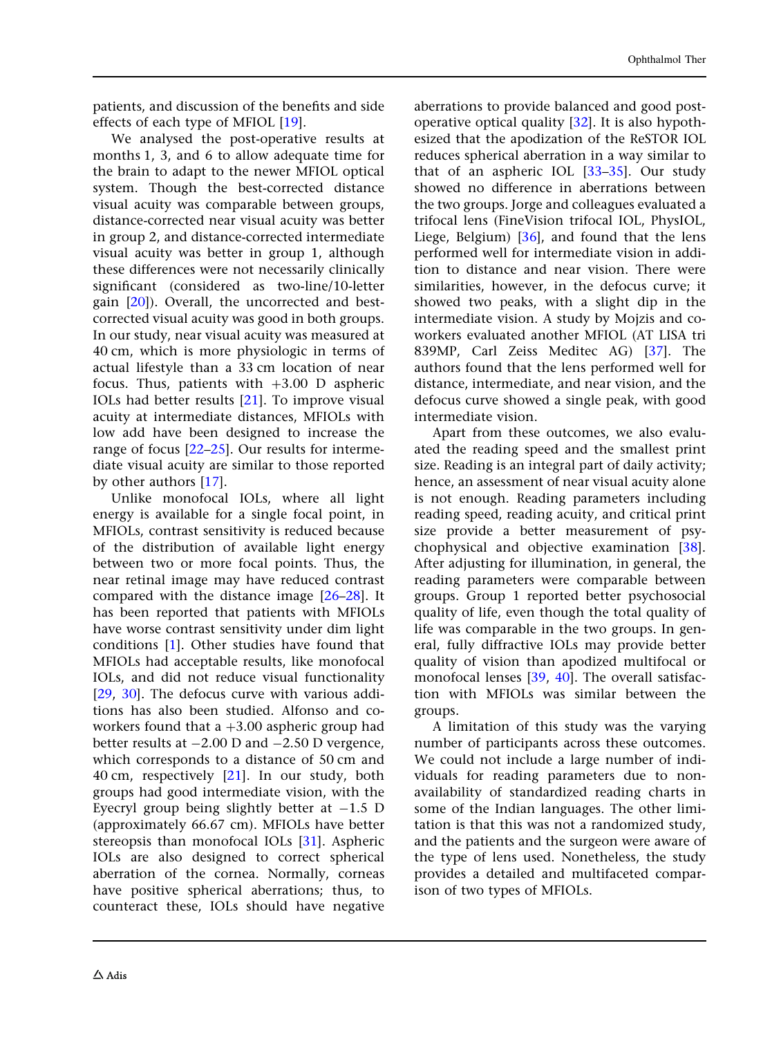patients, and discussion of the benefits and side effects of each type of MFIOL [\[19\]](#page-11-0).

We analysed the post-operative results at months 1, 3, and 6 to allow adequate time for the brain to adapt to the newer MFIOL optical system. Though the best-corrected distance visual acuity was comparable between groups, distance-corrected near visual acuity was better in group 2, and distance-corrected intermediate visual acuity was better in group 1, although these differences were not necessarily clinically significant (considered as two-line/10-letter gain [\[20\]](#page-11-0)). Overall, the uncorrected and bestcorrected visual acuity was good in both groups. In our study, near visual acuity was measured at 40 cm, which is more physiologic in terms of actual lifestyle than a 33 cm location of near focus. Thus, patients with  $+3.00$  D aspheric IOLs had better results [[21](#page-11-0)]. To improve visual acuity at intermediate distances, MFIOLs with low add have been designed to increase the range of focus [\[22–](#page-11-0)[25](#page-12-0)]. Our results for intermediate visual acuity are similar to those reported by other authors [[17](#page-11-0)].

Unlike monofocal IOLs, where all light energy is available for a single focal point, in MFIOLs, contrast sensitivity is reduced because of the distribution of available light energy between two or more focal points. Thus, the near retinal image may have reduced contrast compared with the distance image [\[26–28](#page-12-0)]. It has been reported that patients with MFIOLs have worse contrast sensitivity under dim light conditions [[1\]](#page-10-0). Other studies have found that MFIOLs had acceptable results, like monofocal IOLs, and did not reduce visual functionality [\[29,](#page-12-0) [30](#page-12-0)]. The defocus curve with various additions has also been studied. Alfonso and coworkers found that  $a +3.00$  aspheric group had better results at  $-2.00$  D and  $-2.50$  D vergence, which corresponds to a distance of 50 cm and 40 cm, respectively [\[21\]](#page-11-0). In our study, both groups had good intermediate vision, with the Eyecryl group being slightly better at  $-1.5$  D (approximately 66.67 cm). MFIOLs have better stereopsis than monofocal IOLs [[31](#page-12-0)]. Aspheric IOLs are also designed to correct spherical aberration of the cornea. Normally, corneas have positive spherical aberrations; thus, to counteract these, IOLs should have negative aberrations to provide balanced and good postoperative optical quality [\[32\]](#page-12-0). It is also hypothesized that the apodization of the ReSTOR IOL reduces spherical aberration in a way similar to that of an aspheric IOL [[33–35\]](#page-12-0). Our study showed no difference in aberrations between the two groups. Jorge and colleagues evaluated a trifocal lens (FineVision trifocal IOL, PhysIOL, Liege, Belgium) [\[36](#page-12-0)], and found that the lens performed well for intermediate vision in addition to distance and near vision. There were similarities, however, in the defocus curve; it showed two peaks, with a slight dip in the intermediate vision. A study by Mojzis and coworkers evaluated another MFIOL (AT LISA tri 839MP, Carl Zeiss Meditec AG) [[37](#page-12-0)]. The authors found that the lens performed well for distance, intermediate, and near vision, and the defocus curve showed a single peak, with good intermediate vision.

Apart from these outcomes, we also evaluated the reading speed and the smallest print size. Reading is an integral part of daily activity; hence, an assessment of near visual acuity alone is not enough. Reading parameters including reading speed, reading acuity, and critical print size provide a better measurement of psychophysical and objective examination [[38](#page-12-0)]. After adjusting for illumination, in general, the reading parameters were comparable between groups. Group 1 reported better psychosocial quality of life, even though the total quality of life was comparable in the two groups. In general, fully diffractive IOLs may provide better quality of vision than apodized multifocal or monofocal lenses [\[39,](#page-12-0) [40\]](#page-12-0). The overall satisfaction with MFIOLs was similar between the groups.

A limitation of this study was the varying number of participants across these outcomes. We could not include a large number of individuals for reading parameters due to nonavailability of standardized reading charts in some of the Indian languages. The other limitation is that this was not a randomized study, and the patients and the surgeon were aware of the type of lens used. Nonetheless, the study provides a detailed and multifaceted comparison of two types of MFIOLs.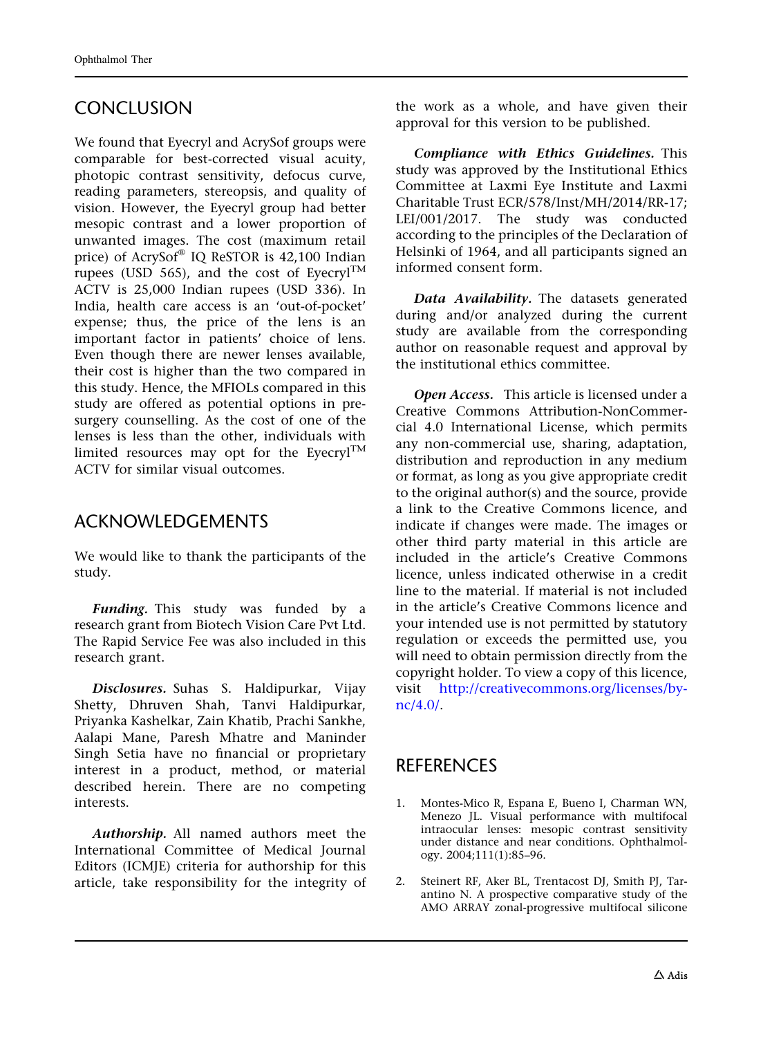## <span id="page-10-0"></span>**CONCLUSION**

We found that Eyecryl and AcrySof groups were comparable for best-corrected visual acuity, photopic contrast sensitivity, defocus curve, reading parameters, stereopsis, and quality of vision. However, the Eyecryl group had better mesopic contrast and a lower proportion of unwanted images. The cost (maximum retail price) of  $AcrySof^{\circledast}$  IQ ReSTOR is 42,100 Indian rupees (USD 565), and the cost of Eyecryl<sup>TM</sup> ACTV is 25,000 Indian rupees (USD 336). In India, health care access is an 'out-of-pocket' expense; thus, the price of the lens is an important factor in patients' choice of lens. Even though there are newer lenses available, their cost is higher than the two compared in this study. Hence, the MFIOLs compared in this study are offered as potential options in presurgery counselling. As the cost of one of the lenses is less than the other, individuals with limited resources may opt for the Eyecryl<sup>TM</sup> ACTV for similar visual outcomes.

## ACKNOWLEDGEMENTS

We would like to thank the participants of the study.

Funding. This study was funded by a research grant from Biotech Vision Care Pvt Ltd. The Rapid Service Fee was also included in this research grant.

Disclosures. Suhas S. Haldipurkar, Vijay Shetty, Dhruven Shah, Tanvi Haldipurkar, Priyanka Kashelkar, Zain Khatib, Prachi Sankhe, Aalapi Mane, Paresh Mhatre and Maninder Singh Setia have no financial or proprietary interest in a product, method, or material described herein. There are no competing interests.

Authorship. All named authors meet the International Committee of Medical Journal Editors (ICMJE) criteria for authorship for this article, take responsibility for the integrity of the work as a whole, and have given their approval for this version to be published.

Compliance with Ethics Guidelines. This study was approved by the Institutional Ethics Committee at Laxmi Eye Institute and Laxmi Charitable Trust ECR/578/Inst/MH/2014/RR-17; LEI/001/2017. The study was conducted according to the principles of the Declaration of Helsinki of 1964, and all participants signed an informed consent form.

Data Availability. The datasets generated during and/or analyzed during the current study are available from the corresponding author on reasonable request and approval by the institutional ethics committee.

Open Access. This article is licensed under a Creative Commons Attribution-NonCommercial 4.0 International License, which permits any non-commercial use, sharing, adaptation, distribution and reproduction in any medium or format, as long as you give appropriate credit to the original author(s) and the source, provide a link to the Creative Commons licence, and indicate if changes were made. The images or other third party material in this article are included in the article's Creative Commons licence, unless indicated otherwise in a credit line to the material. If material is not included in the article's Creative Commons licence and your intended use is not permitted by statutory regulation or exceeds the permitted use, you will need to obtain permission directly from the copyright holder. To view a copy of this licence, visit [http://creativecommons.org/licenses/by](http://creativecommons.org/licenses/by-nc/4.0/)[nc/4.0/](http://creativecommons.org/licenses/by-nc/4.0/).

## **REFERENCES**

- 1. Montes-Mico R, Espana E, Bueno I, Charman WN, Menezo JL. Visual performance with multifocal intraocular lenses: mesopic contrast sensitivity under distance and near conditions. Ophthalmology. 2004;111(1):85–96.
- 2. Steinert RF, Aker BL, Trentacost DJ, Smith PJ, Tarantino N. A prospective comparative study of the AMO ARRAY zonal-progressive multifocal silicone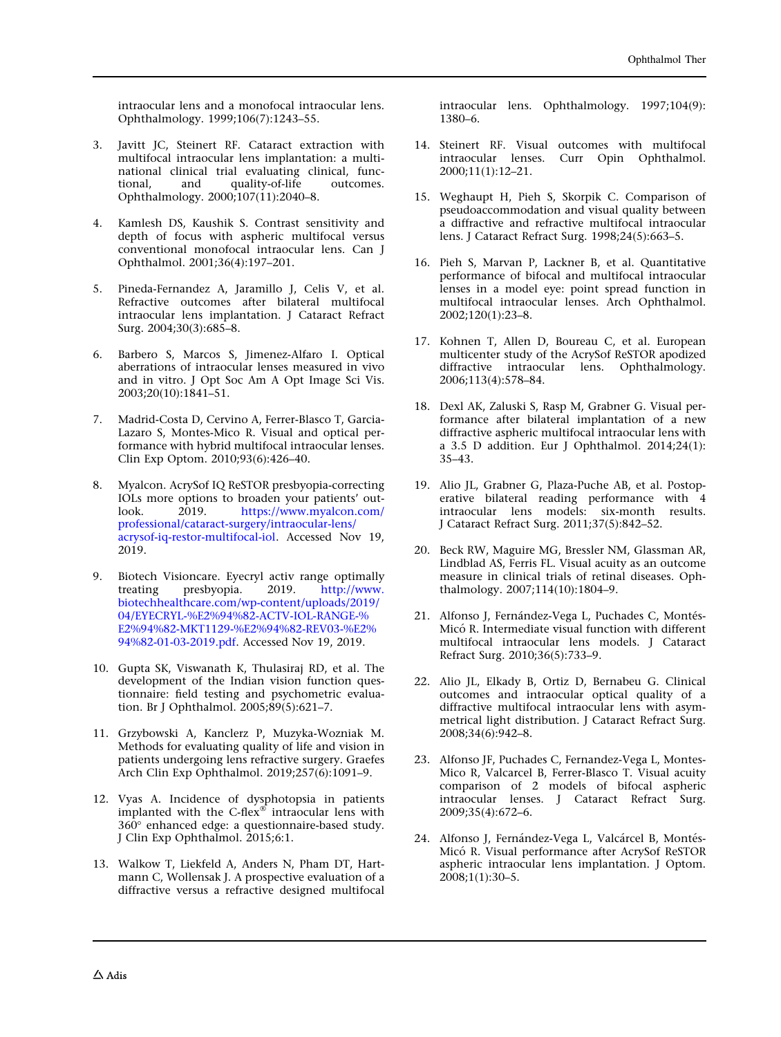<span id="page-11-0"></span>intraocular lens and a monofocal intraocular lens. Ophthalmology. 1999;106(7):1243–55.

- 3. Javitt JC, Steinert RF. Cataract extraction with multifocal intraocular lens implantation: a multinational clinical trial evaluating clinical, functional, and quality-of-life outcomes. Ophthalmology. 2000;107(11):2040–8.
- 4. Kamlesh DS, Kaushik S. Contrast sensitivity and depth of focus with aspheric multifocal versus conventional monofocal intraocular lens. Can J Ophthalmol. 2001;36(4):197–201.
- 5. Pineda-Fernandez A, Jaramillo J, Celis V, et al. Refractive outcomes after bilateral multifocal intraocular lens implantation. J Cataract Refract Surg. 2004;30(3):685–8.
- 6. Barbero S, Marcos S, Jimenez-Alfaro I. Optical aberrations of intraocular lenses measured in vivo and in vitro. J Opt Soc Am A Opt Image Sci Vis. 2003;20(10):1841–51.
- 7. Madrid-Costa D, Cervino A, Ferrer-Blasco T, Garcia-Lazaro S, Montes-Mico R. Visual and optical performance with hybrid multifocal intraocular lenses. Clin Exp Optom. 2010;93(6):426–40.
- 8. Myalcon. AcrySof IQ ReSTOR presbyopia-correcting IOLs more options to broaden your patients' outlook. 2019. [https://www.myalcon.com/](https://www.myalcon.com/professional/cataract-surgery/intraocular-lens/acrysof-iq-restor-multifocal-iol) [professional/cataract-surgery/intraocular-lens/](https://www.myalcon.com/professional/cataract-surgery/intraocular-lens/acrysof-iq-restor-multifocal-iol) [acrysof-iq-restor-multifocal-iol](https://www.myalcon.com/professional/cataract-surgery/intraocular-lens/acrysof-iq-restor-multifocal-iol). Accessed Nov 19, 2019.
- Biotech Visioncare. Eyecryl activ range optimally treating presbyopia. 2019. [http://www.](http://www.biotechhealthcare.com/wp-content/uploads/2019/04/EYECRYL-%E2%94%82-ACTV-IOL-RANGE-%E2%94%82-MKT1129-%E2%94%82-REV03-%E2%94%82-01-03-2019.pdf) [biotechhealthcare.com/wp-content/uploads/2019/](http://www.biotechhealthcare.com/wp-content/uploads/2019/04/EYECRYL-%E2%94%82-ACTV-IOL-RANGE-%E2%94%82-MKT1129-%E2%94%82-REV03-%E2%94%82-01-03-2019.pdf) [04/EYECRYL-%E2%94%82-ACTV-IOL-RANGE-%](http://www.biotechhealthcare.com/wp-content/uploads/2019/04/EYECRYL-%E2%94%82-ACTV-IOL-RANGE-%E2%94%82-MKT1129-%E2%94%82-REV03-%E2%94%82-01-03-2019.pdf) [E2%94%82-MKT1129-%E2%94%82-REV03-%E2%](http://www.biotechhealthcare.com/wp-content/uploads/2019/04/EYECRYL-%E2%94%82-ACTV-IOL-RANGE-%E2%94%82-MKT1129-%E2%94%82-REV03-%E2%94%82-01-03-2019.pdf) [94%82-01-03-2019.pdf.](http://www.biotechhealthcare.com/wp-content/uploads/2019/04/EYECRYL-%E2%94%82-ACTV-IOL-RANGE-%E2%94%82-MKT1129-%E2%94%82-REV03-%E2%94%82-01-03-2019.pdf) Accessed Nov 19, 2019.
- 10. Gupta SK, Viswanath K, Thulasiraj RD, et al. The development of the Indian vision function questionnaire: field testing and psychometric evaluation. Br J Ophthalmol. 2005;89(5):621–7.
- 11. Grzybowski A, Kanclerz P, Muzyka-Wozniak M. Methods for evaluating quality of life and vision in patients undergoing lens refractive surgery. Graefes Arch Clin Exp Ophthalmol. 2019;257(6):1091–9.
- 12. Vyas A. Incidence of dysphotopsia in patients implanted with the C-flex $\infty$  intraocular lens with 360° enhanced edge: a questionnaire-based study. J Clin Exp Ophthalmol. 2015;6:1.
- 13. Walkow T, Liekfeld A, Anders N, Pham DT, Hartmann C, Wollensak J. A prospective evaluation of a diffractive versus a refractive designed multifocal

intraocular lens. Ophthalmology. 1997;104(9): 1380–6.

- 14. Steinert RF. Visual outcomes with multifocal intraocular lenses. Curr Opin Ophthalmol. 2000;11(1):12–21.
- 15. Weghaupt H, Pieh S, Skorpik C. Comparison of pseudoaccommodation and visual quality between a diffractive and refractive multifocal intraocular lens. J Cataract Refract Surg. 1998;24(5):663–5.
- 16. Pieh S, Marvan P, Lackner B, et al. Quantitative performance of bifocal and multifocal intraocular lenses in a model eye: point spread function in multifocal intraocular lenses. Arch Ophthalmol. 2002;120(1):23–8.
- 17. Kohnen T, Allen D, Boureau C, et al. European multicenter study of the AcrySof ReSTOR apodized diffractive intraocular lens. Ophthalmology. 2006;113(4):578–84.
- 18. Dexl AK, Zaluski S, Rasp M, Grabner G. Visual performance after bilateral implantation of a new diffractive aspheric multifocal intraocular lens with a 3.5 D addition. Eur J Ophthalmol. 2014;24(1): 35–43.
- 19. Alio JL, Grabner G, Plaza-Puche AB, et al. Postoperative bilateral reading performance with 4 intraocular lens models: six-month results. J Cataract Refract Surg. 2011;37(5):842–52.
- 20. Beck RW, Maguire MG, Bressler NM, Glassman AR, Lindblad AS, Ferris FL. Visual acuity as an outcome measure in clinical trials of retinal diseases. Ophthalmology. 2007;114(10):1804–9.
- 21. Alfonso J, Fernández-Vega L, Puchades C, Montés-Micó R. Intermediate visual function with different multifocal intraocular lens models. J Cataract Refract Surg. 2010;36(5):733–9.
- 22. Alio JL, Elkady B, Ortiz D, Bernabeu G. Clinical outcomes and intraocular optical quality of a diffractive multifocal intraocular lens with asymmetrical light distribution. J Cataract Refract Surg. 2008;34(6):942–8.
- 23. Alfonso JF, Puchades C, Fernandez-Vega L, Montes-Mico R, Valcarcel B, Ferrer-Blasco T. Visual acuity comparison of 2 models of bifocal aspheric intraocular lenses. J Cataract Refract Surg. 2009;35(4):672–6.
- 24. Alfonso J, Fernández-Vega L, Valcárcel B, Montés-Micó R. Visual performance after AcrySof ReSTOR aspheric intraocular lens implantation. J Optom.  $2008;1(1):30-5.$